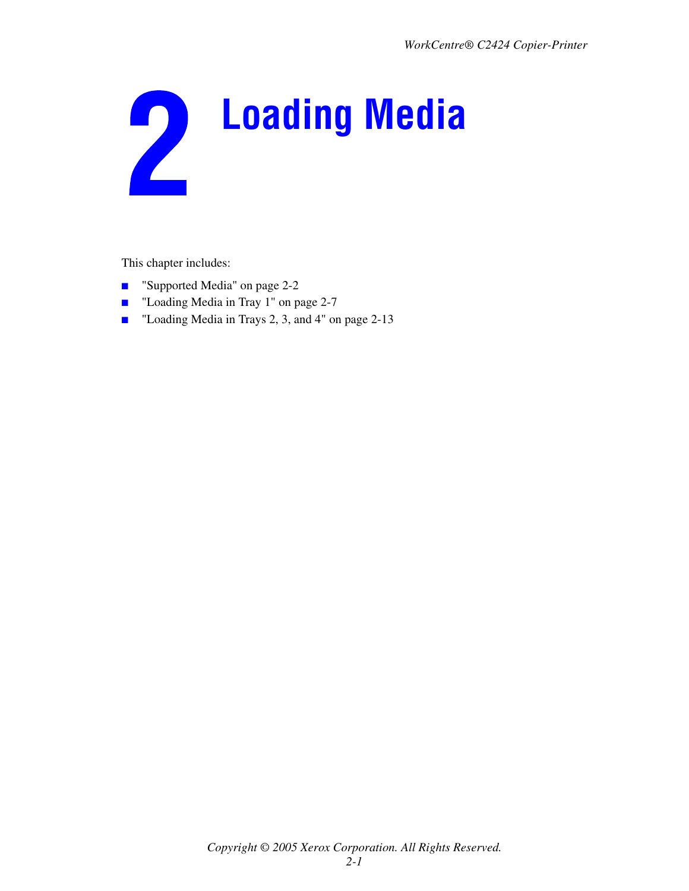

This chapter includes:

- ["Supported Media" on page 2-2](#page-1-0)
- ["Loading Media in Tray 1" on page 2-7](#page-6-0)
- ["Loading Media in Trays 2, 3, and 4" on page 2-13](#page-12-0)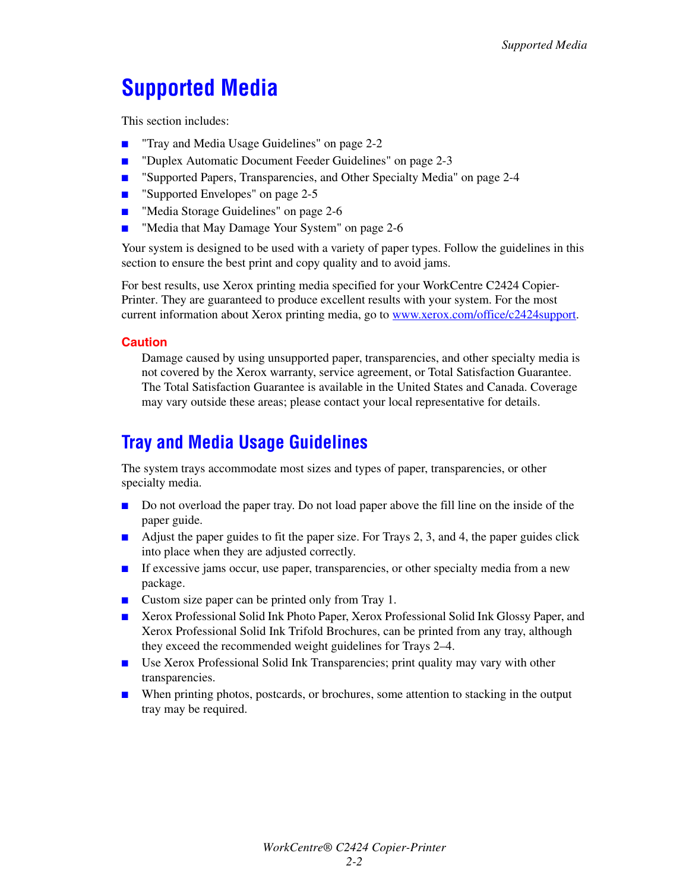# <span id="page-1-0"></span>**Supported Media**

This section includes:

- ["Tray and Media Usage Guidelines" on page 2-2](#page-1-1)
- ["Duplex Automatic Document Feeder Guidelines" on page 2-3](#page-2-0)
- ["Supported Papers, Transparencies, and Other Specialty Media" on page 2-4](#page-3-0)
- ["Supported Envelopes" on page 2-5](#page-4-0)
- ["Media Storage Guidelines" on page 2-6](#page-5-1)
- ["Media that May Damage Your System" on page 2-6](#page-5-0)

Your system is designed to be used with a variety of paper types. Follow the guidelines in this section to ensure the best print and copy quality and to avoid jams.

For best results, use Xerox printing media specified for your WorkCentre C2424 Copier-Printer. They are guaranteed to produce excellent results with your system. For the most current information about Xerox printing media, go to [www.xerox.com/office/c2424support](http://www.office.xerox.com/cgi-bin/printer.pl?APP=udpdfs&PAGE=color&Model=WorkCentre+C2424&PgName=tech&Language=english).

#### **Caution**

Damage caused by using unsupported paper, transparencies, and other specialty media is not covered by the Xerox warranty, service agreement, or Total Satisfaction Guarantee. The Total Satisfaction Guarantee is available in the United States and Canada. Coverage may vary outside these areas; please contact your local representative for details.

## <span id="page-1-1"></span>**Tray and Media Usage Guidelines**

The system trays accommodate most sizes and types of paper, transparencies, or other specialty media.

- Do not overload the paper tray. Do not load paper above the fill line on the inside of the paper guide.
- Adjust the paper guides to fit the paper size. For Trays 2, 3, and 4, the paper guides click into place when they are adjusted correctly.
- If excessive jams occur, use paper, transparencies, or other specialty media from a new package.
- Custom size paper can be printed only from Tray 1.
- Xerox Professional Solid Ink Photo Paper, Xerox Professional Solid Ink Glossy Paper, and Xerox Professional Solid Ink Trifold Brochures, can be printed from any tray, although they exceed the recommended weight guidelines for Trays 2–4.
- Use Xerox Professional Solid Ink Transparencies; print quality may vary with other transparencies.
- When printing photos, postcards, or brochures, some attention to stacking in the output tray may be required.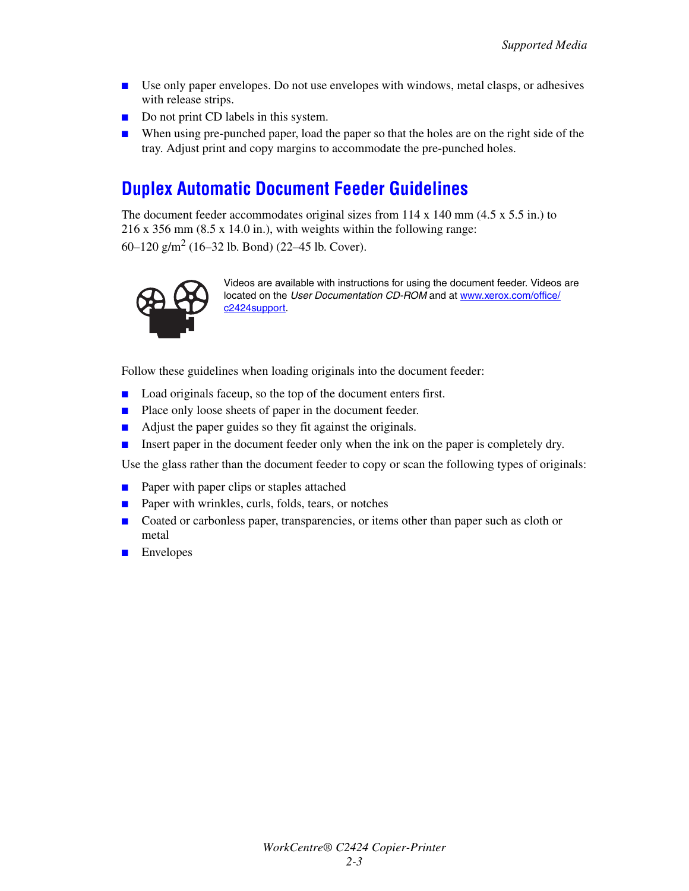- Use only paper envelopes. Do not use envelopes with windows, metal clasps, or adhesives with release strips.
- Do not print CD labels in this system.
- When using pre-punched paper, load the paper so that the holes are on the right side of the tray. Adjust print and copy margins to accommodate the pre-punched holes.

## <span id="page-2-0"></span>**Duplex Automatic Document Feeder Guidelines**

The document feeder accommodates original sizes from  $114 \times 140$  mm  $(4.5 \times 5.5)$  in.) to 216 x 356 mm (8.5 x 14.0 in.), with weights within the following range: 60–120  $\text{g/m}^2$  (16–32 lb. Bond) (22–45 lb. Cover).



Videos are available with instructions for using the document feeder. Videos are located on the User Documentation CD-ROM and at [www.xerox.com/office/](http://www.office.xerox.com/cgi-bin/printer.pl?APP=udpdfs&Page=color&Model=WorkCentre+C2424&PgName=userdocvideos&Filename=scan_doc_feeder.htm&language=english) [c2424support.](http://www.office.xerox.com/cgi-bin/printer.pl?APP=udpdfs&Page=color&Model=WorkCentre+C2424&PgName=userdocvideos&Filename=scan_doc_feeder.htm&language=english)

Follow these guidelines when loading originals into the document feeder:

- Load originals faceup, so the top of the document enters first.
- Place only loose sheets of paper in the document feeder.
- Adjust the paper guides so they fit against the originals.
- Insert paper in the document feeder only when the ink on the paper is completely dry.

Use the glass rather than the document feeder to copy or scan the following types of originals:

- Paper with paper clips or staples attached
- Paper with wrinkles, curls, folds, tears, or notches
- Coated or carbonless paper, transparencies, or items other than paper such as cloth or metal
- Envelopes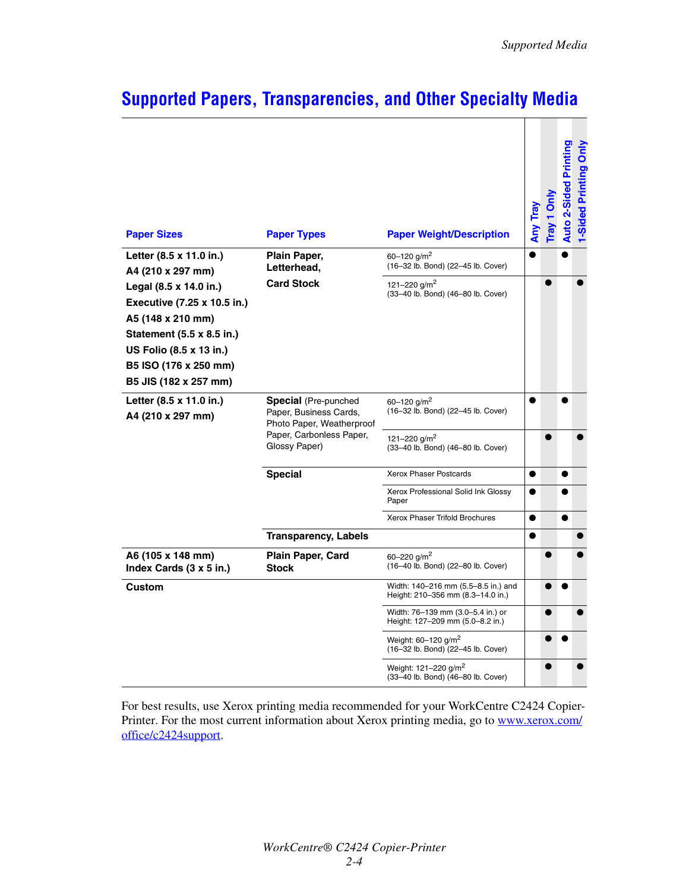| <b>Paper Sizes</b>                                                                                                                                                                   | <b>Paper Types</b>                                                                                                              | <b>Paper Weight/Description</b>                                          | Any Tray  | Tray 1 Only | <b>Auto 2-Sided Printing</b> | 1-Sided Printing Only |
|--------------------------------------------------------------------------------------------------------------------------------------------------------------------------------------|---------------------------------------------------------------------------------------------------------------------------------|--------------------------------------------------------------------------|-----------|-------------|------------------------------|-----------------------|
| Letter (8.5 x 11.0 in.)<br>A4 (210 x 297 mm)                                                                                                                                         | Plain Paper,<br>Letterhead,                                                                                                     | 60-120 $q/m^2$<br>(16-32 lb. Bond) (22-45 lb. Cover)                     |           |             |                              |                       |
| Legal (8.5 x 14.0 in.)<br>Executive (7.25 x 10.5 in.)<br>A5 (148 x 210 mm)<br>Statement (5.5 x 8.5 in.)<br>US Folio (8.5 x 13 in.)<br>B5 ISO (176 x 250 mm)<br>B5 JIS (182 x 257 mm) | <b>Card Stock</b>                                                                                                               | 121-220 g/m <sup>2</sup><br>(33-40 lb. Bond) (46-80 lb. Cover)           |           | $\bullet$   |                              |                       |
| Letter (8.5 x 11.0 in.)<br>A4 (210 x 297 mm)                                                                                                                                         | <b>Special</b> (Pre-punched<br>Paper, Business Cards,<br>Photo Paper, Weatherproof<br>Paper, Carbonless Paper,<br>Glossy Paper) | 60-120 $q/m^2$<br>(16-32 lb. Bond) (22-45 lb. Cover)                     | ●         |             |                              |                       |
|                                                                                                                                                                                      |                                                                                                                                 | 121-220 g/m <sup>2</sup><br>(33-40 lb. Bond) (46-80 lb. Cover)           |           |             |                              |                       |
|                                                                                                                                                                                      | <b>Special</b>                                                                                                                  | <b>Xerox Phaser Postcards</b>                                            | ●         |             | ●                            |                       |
|                                                                                                                                                                                      |                                                                                                                                 | Xerox Professional Solid Ink Glossy<br>Paper                             |           |             |                              |                       |
|                                                                                                                                                                                      |                                                                                                                                 | <b>Xerox Phaser Trifold Brochures</b>                                    | $\bullet$ |             | ●                            |                       |
|                                                                                                                                                                                      | <b>Transparency, Labels</b>                                                                                                     |                                                                          | ●         |             |                              |                       |
| A6 (105 x 148 mm)<br>Index Cards (3 x 5 in.)                                                                                                                                         | Plain Paper, Card<br><b>Stock</b>                                                                                               | 60-220 $a/m^2$<br>(16-40 lb. Bond) (22-80 lb. Cover)                     |           | ●           |                              |                       |
| Custom                                                                                                                                                                               |                                                                                                                                 | Width: 140-216 mm (5.5-8.5 in.) and<br>Height: 210-356 mm (8.3-14.0 in.) |           |             |                              |                       |
|                                                                                                                                                                                      |                                                                                                                                 | Width: 76-139 mm (3.0-5.4 in.) or<br>Height: 127-209 mm (5.0-8.2 in.)    |           | ●           |                              |                       |
|                                                                                                                                                                                      |                                                                                                                                 | Weight: 60-120 g/m <sup>2</sup><br>(16-32 lb. Bond) (22-45 lb. Cover)    |           | O           |                              |                       |
|                                                                                                                                                                                      |                                                                                                                                 | Weight: 121-220 g/m <sup>2</sup><br>(33-40 lb. Bond) (46-80 lb. Cover)   |           |             |                              |                       |

## <span id="page-3-0"></span>**Supported Papers, Transparencies, and Other Specialty Media**

For best results, use Xerox printing media recommended for your WorkCentre C2424 CopierPrinter. For the most current information about Xerox printing media, go to [www.xerox.com/](http://www.office.xerox.com/cgi-bin/printer.pl?APP=udpdfs&PAGE=color&Model=WorkCentre+C2424&PgName=tech&Language=english) [office/c2424support.](http://www.office.xerox.com/cgi-bin/printer.pl?APP=udpdfs&PAGE=color&Model=WorkCentre+C2424&PgName=tech&Language=english)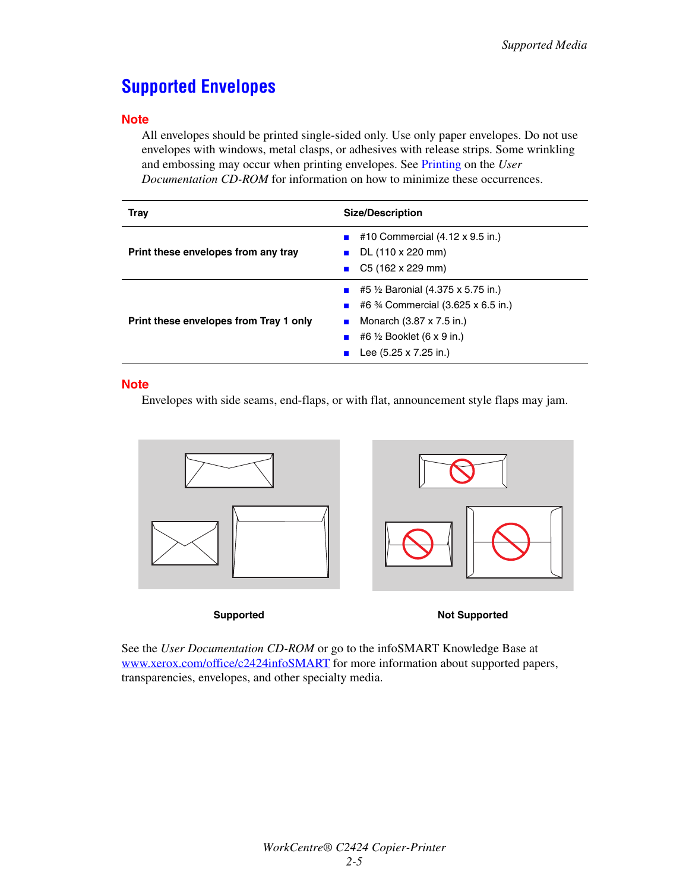## <span id="page-4-0"></span>**Supported Envelopes**

### **Note**

All envelopes should be printed single-sided only. Use only paper envelopes. Do not use envelopes with windows, metal clasps, or adhesives with release strips. Some wrinkling and embossing may occur when printing envelopes. See Printing on the *User Documentation CD-ROM* for information on how to minimize these occurrences.

| <b>Tray</b>                            | <b>Size/Description</b>                                                                                                                                                                   |  |
|----------------------------------------|-------------------------------------------------------------------------------------------------------------------------------------------------------------------------------------------|--|
| Print these envelopes from any tray    | #10 Commercial (4.12 x 9.5 in.)<br>DL (110 x 220 mm)<br>C5 (162 x 229 mm)                                                                                                                 |  |
| Print these envelopes from Tray 1 only | <b>E</b> #5 $\frac{1}{2}$ Baronial (4.375 x 5.75 in.)<br>■ #6 $\frac{3}{4}$ Commercial (3.625 x 6.5 in.)<br>Monarch (3.87 x 7.5 in.)<br>#6 ½ Booklet (6 x 9 in.)<br>Lee (5.25 x 7.25 in.) |  |

### **Note**

Envelopes with side seams, end-flaps, or with flat, announcement style flaps may jam.



**Supported Not Supported** 

See the *User Documentation CD-ROM* or go to the infoSMART Knowledge Base at [www.xerox.com/office/c2424infoSMART](http://www.office.xerox.com/cgi-bin/printer.pl?APP=udpdfs&PAGE=color&Model=WorkCentre+C2424&PgName=infosmart&Language=english) for more information about supported papers, transparencies, envelopes, and other specialty media.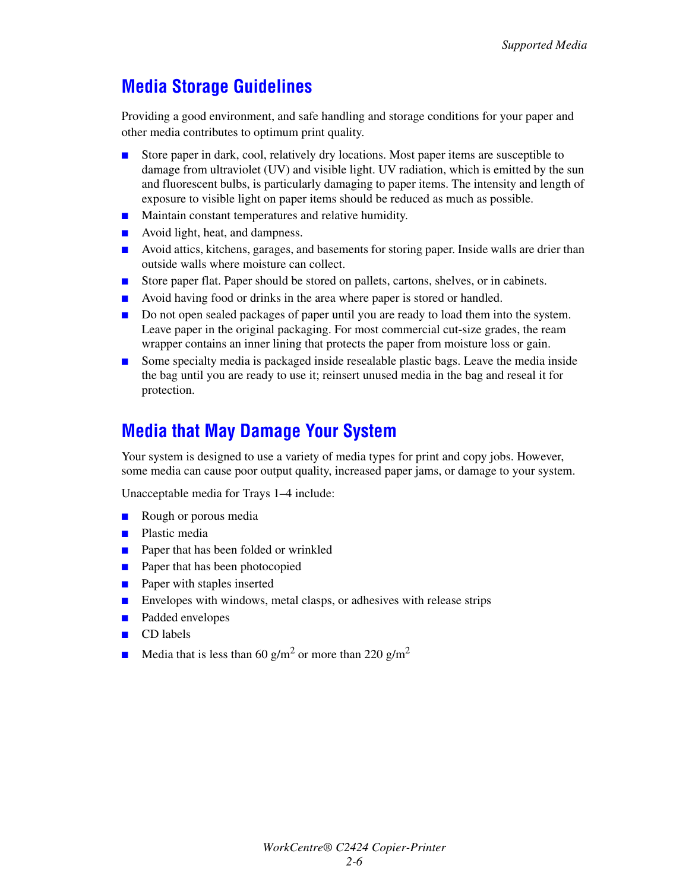## <span id="page-5-1"></span>**Media Storage Guidelines**

Providing a good environment, and safe handling and storage conditions for your paper and other media contributes to optimum print quality.

- Store paper in dark, cool, relatively dry locations. Most paper items are susceptible to damage from ultraviolet (UV) and visible light. UV radiation, which is emitted by the sun and fluorescent bulbs, is particularly damaging to paper items. The intensity and length of exposure to visible light on paper items should be reduced as much as possible.
- Maintain constant temperatures and relative humidity.
- Avoid light, heat, and dampness.
- Avoid attics, kitchens, garages, and basements for storing paper. Inside walls are drier than outside walls where moisture can collect.
- Store paper flat. Paper should be stored on pallets, cartons, shelves, or in cabinets.
- Avoid having food or drinks in the area where paper is stored or handled.
- Do not open sealed packages of paper until you are ready to load them into the system. Leave paper in the original packaging. For most commercial cut-size grades, the ream wrapper contains an inner lining that protects the paper from moisture loss or gain.
- Some specialty media is packaged inside resealable plastic bags. Leave the media inside the bag until you are ready to use it; reinsert unused media in the bag and reseal it for protection.

## <span id="page-5-0"></span>**Media that May Damage Your System**

Your system is designed to use a variety of media types for print and copy jobs. However, some media can cause poor output quality, increased paper jams, or damage to your system.

Unacceptable media for Trays 1–4 include:

- Rough or porous media
- Plastic media
- Paper that has been folded or wrinkled
- Paper that has been photocopied
- Paper with staples inserted
- Envelopes with windows, metal clasps, or adhesives with release strips
- Padded envelopes
- CD labels
- **•** Media that is less than 60 g/m<sup>2</sup> or more than 220 g/m<sup>2</sup>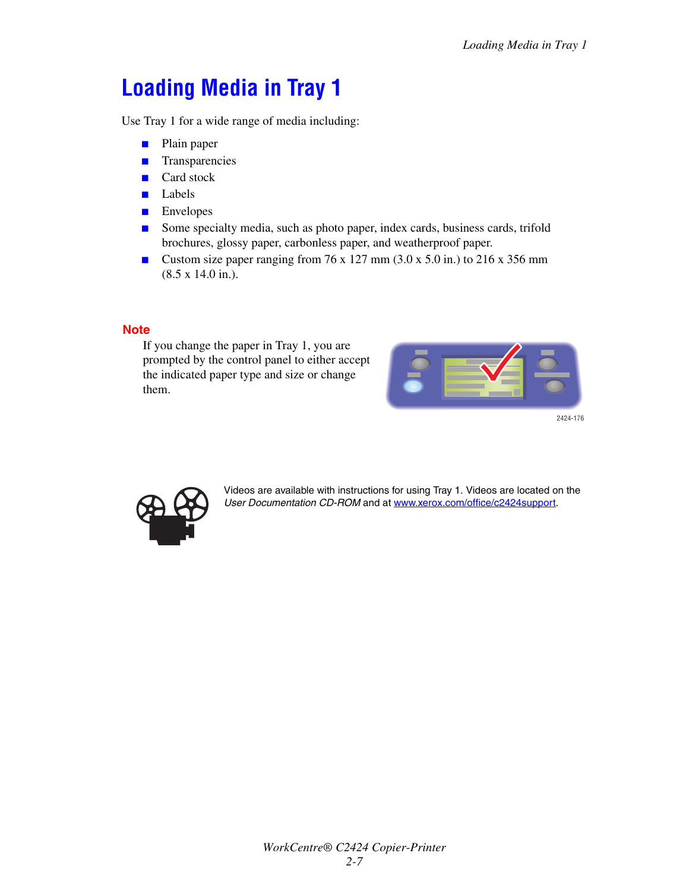# <span id="page-6-0"></span>**Loading Media in Tray 1**

Use Tray 1 for a wide range of media including:

- Plain paper
- Transparencies
- Card stock
- Labels
- Envelopes
- Some specialty media, such as photo paper, index cards, business cards, trifold brochures, glossy paper, carbonless paper, and weatherproof paper.
- Custom size paper ranging from 76 x 127 mm (3.0 x 5.0 in.) to 216 x 356 mm (8.5 x 14.0 in.).

### **Note**

If you change the paper in Tray 1, you are prompted by the control panel to either accept the indicated paper type and size or change them.



2424-176



Videos are available with instructions for using Tray 1. Videos are located on the *User Documentation CD-ROM* and at [www.xerox.com/office/c2424support](http://www.office.xerox.com/cgi-bin/printer.pl?APP=udpdfs&Page=color&Model=WorkCentre+C2424&PgName=userdocvideos&Filename=using_mpt.htm&language=english).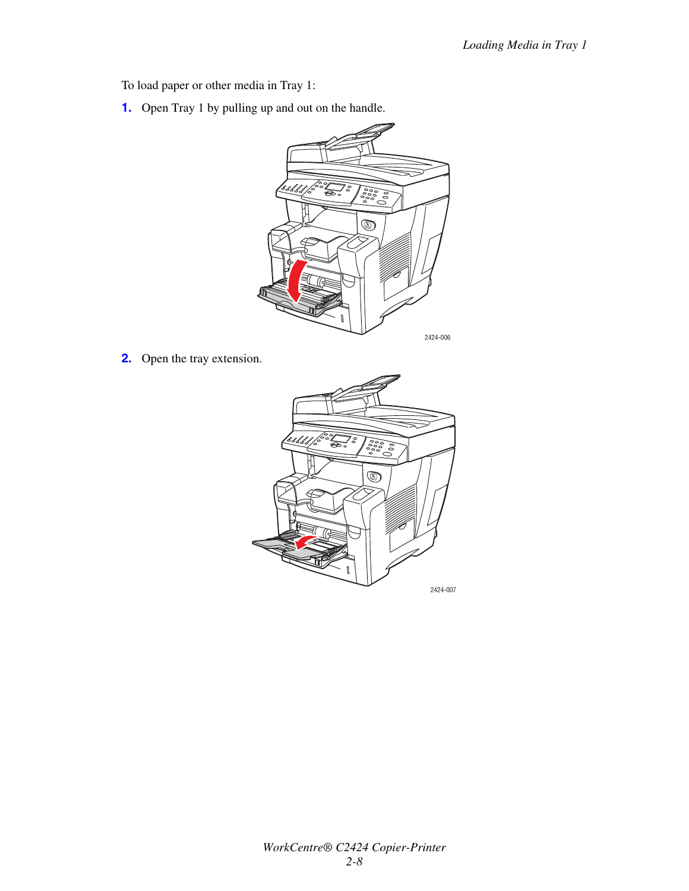To load paper or other media in Tray 1:

**1.** Open Tray 1 by pulling up and out on the handle.



**2.** Open the tray extension.

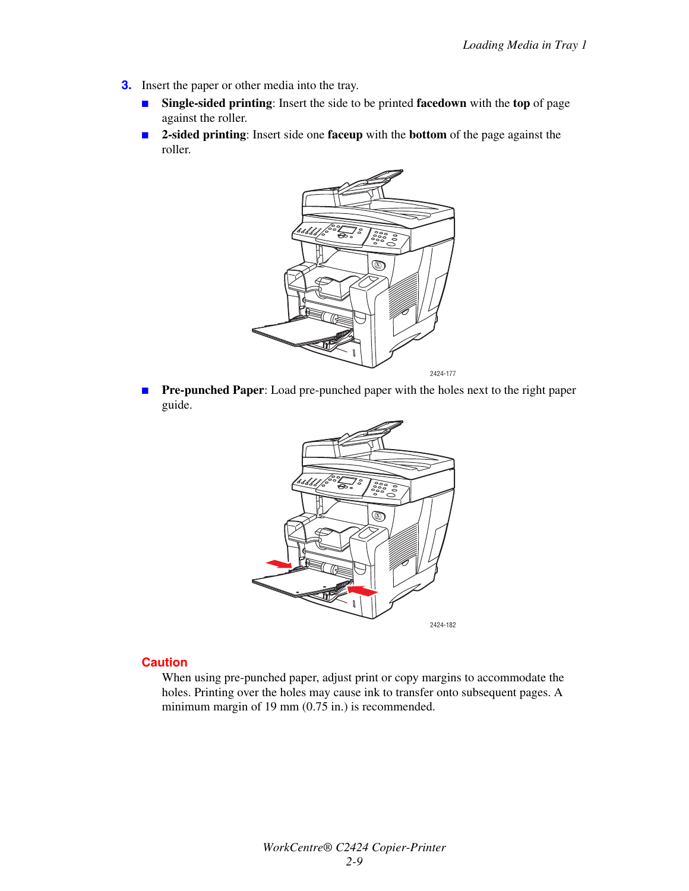- **3.** Insert the paper or other media into the tray.
	- **Single-sided printing**: Insert the side to be printed **facedown** with the **top** of page against the roller.
	- **2-sided printing**: Insert side one **faceup** with the **bottom** of the page against the roller.



■ **Pre-punched Paper**: Load pre-punched paper with the holes next to the right paper guide.



### **Caution**

When using pre-punched paper, adjust print or copy margins to accommodate the holes. Printing over the holes may cause ink to transfer onto subsequent pages. A minimum margin of 19 mm (0.75 in.) is recommended.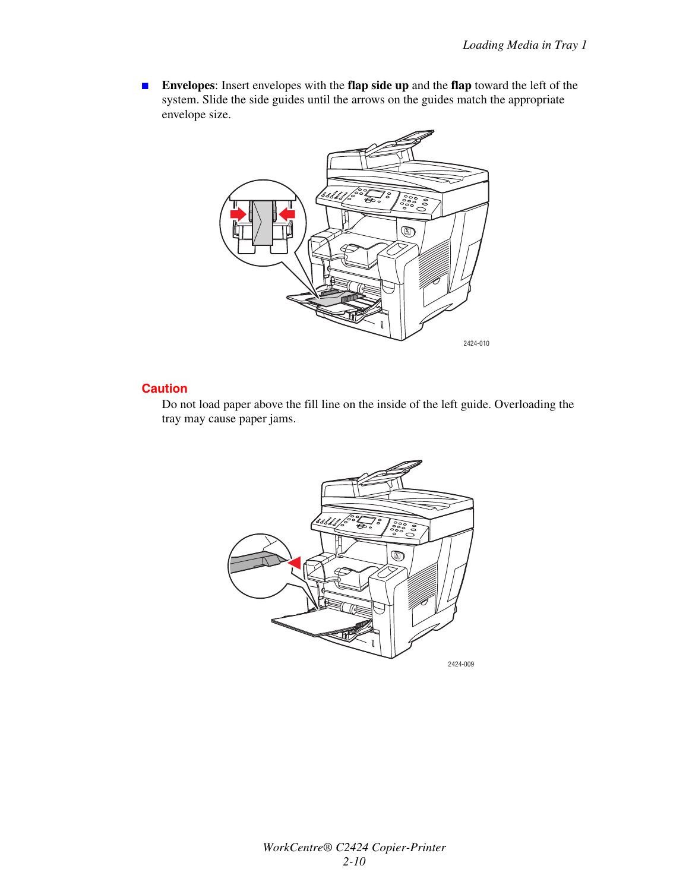■ **Envelopes**: Insert envelopes with the **flap side up** and the **flap** toward the left of the system. Slide the side guides until the arrows on the guides match the appropriate envelope size.



### **Caution**

Do not load paper above the fill line on the inside of the left guide. Overloading the tray may cause paper jams.

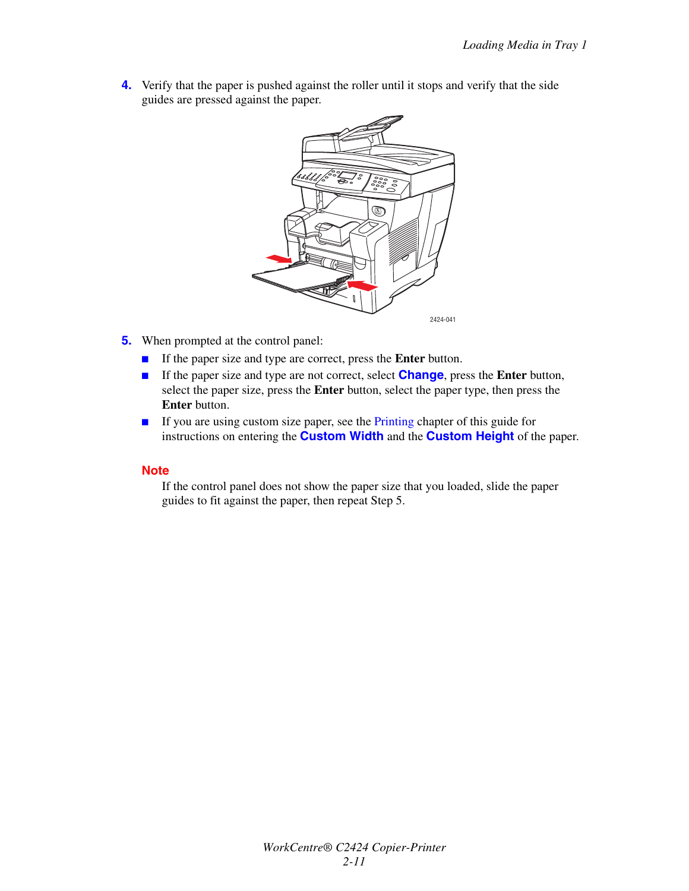**4.** Verify that the paper is pushed against the roller until it stops and verify that the side guides are pressed against the paper.



- **5.** When prompted at the control panel:
	- If the paper size and type are correct, press the **Enter** button.
	- If the paper size and type are not correct, select **Change**, press the **Enter** button, select the paper size, press the **Enter** button, select the paper type, then press the **Enter** button.
	- If you are using custom size paper, see the Printing chapter of this guide for instructions on entering the **Custom Width** and the **Custom Height** of the paper.

### **Note**

If the control panel does not show the paper size that you loaded, slide the paper guides to fit against the paper, then repeat Step 5.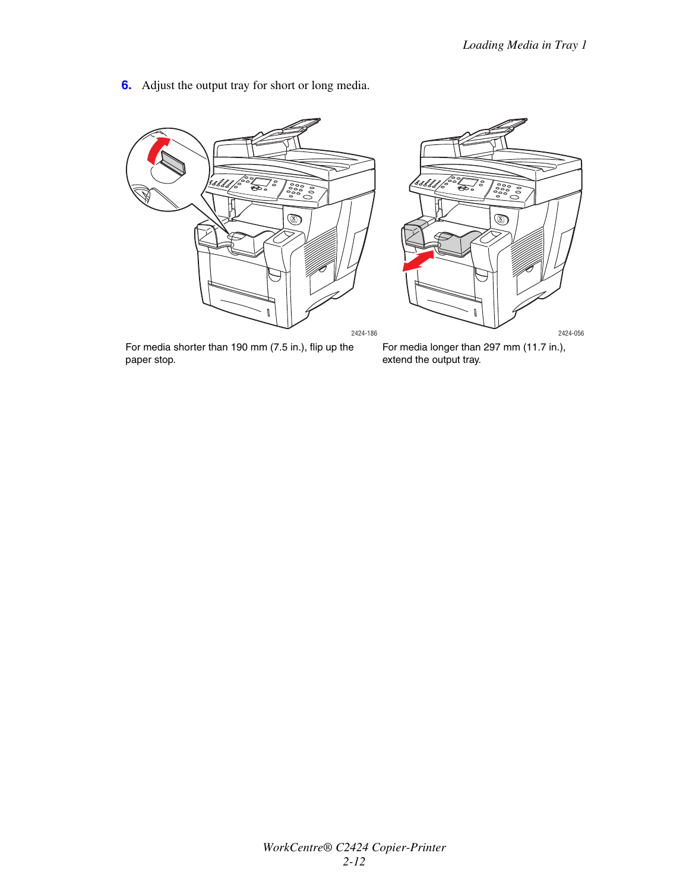**6.** Adjust the output tray for short or long media.



For media shorter than 190 mm (7.5 in.), flip up the paper stop.

For media longer than 297 mm (11.7 in.), extend the output tray.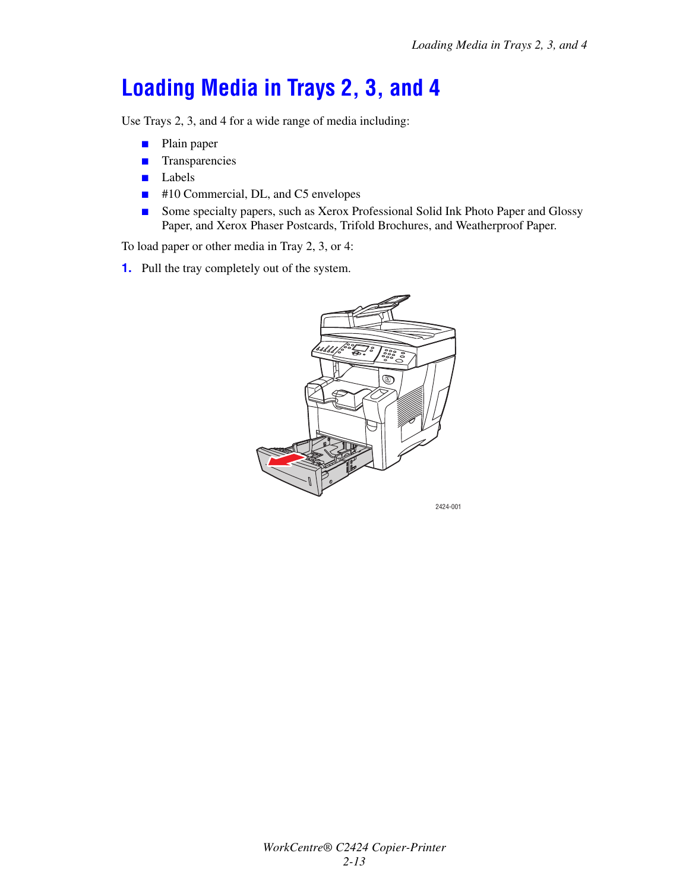# <span id="page-12-0"></span>**Loading Media in Trays 2, 3, and 4**

Use Trays 2, 3, and 4 for a wide range of media including:

- Plain paper
- Transparencies
- Labels
- #10 Commercial, DL, and C5 envelopes
- Some specialty papers, such as Xerox Professional Solid Ink Photo Paper and Glossy Paper, and Xerox Phaser Postcards, Trifold Brochures, and Weatherproof Paper.

To load paper or other media in Tray 2, 3, or 4:

**1.** Pull the tray completely out of the system.

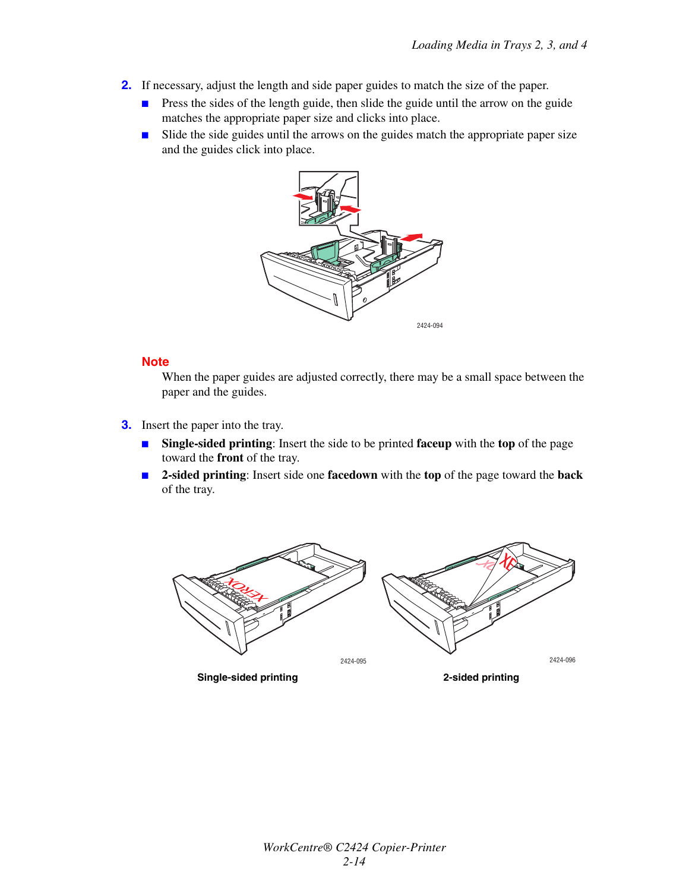- **2.** If necessary, adjust the length and side paper guides to match the size of the paper.
	- Press the sides of the length guide, then slide the guide until the arrow on the guide matches the appropriate paper size and clicks into place.
	- Slide the side guides until the arrows on the guides match the appropriate paper size and the guides click into place.



### **Note**

When the paper guides are adjusted correctly, there may be a small space between the paper and the guides.

- **3.** Insert the paper into the tray.
	- **Single-sided printing**: Insert the side to be printed **faceup** with the **top** of the page toward the **front** of the tray.
	- **2-sided printing**: Insert side one **facedown** with the **top** of the page toward the **back** of the tray.

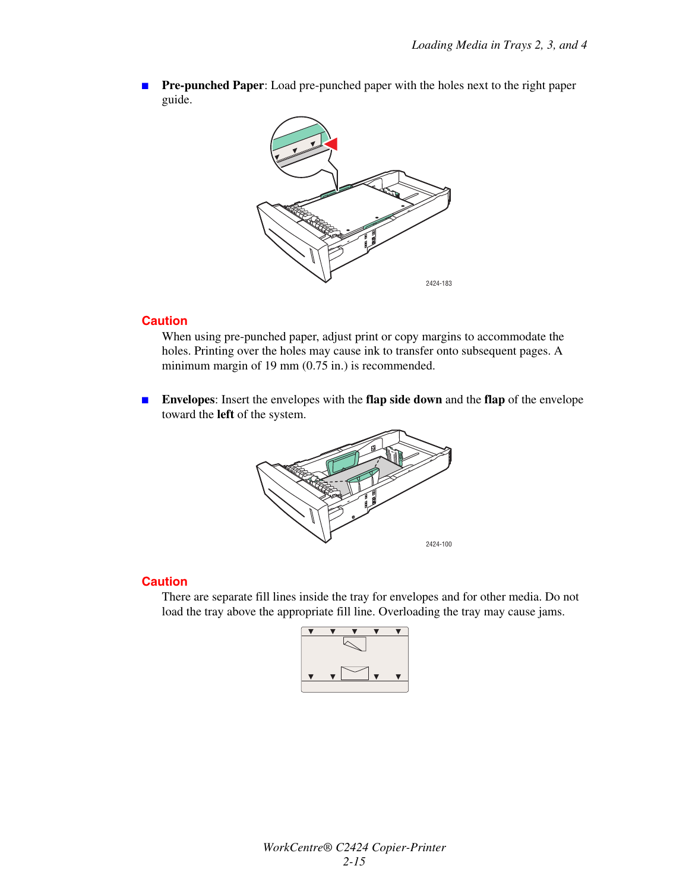**Pre-punched Paper**: Load pre-punched paper with the holes next to the right paper guide.



#### **Caution**

When using pre-punched paper, adjust print or copy margins to accommodate the holes. Printing over the holes may cause ink to transfer onto subsequent pages. A minimum margin of 19 mm (0.75 in.) is recommended.

■ **Envelopes**: Insert the envelopes with the **flap side down** and the **flap** of the envelope toward the **left** of the system.



#### **Caution**

There are separate fill lines inside the tray for envelopes and for other media. Do not load the tray above the appropriate fill line. Overloading the tray may cause jams.